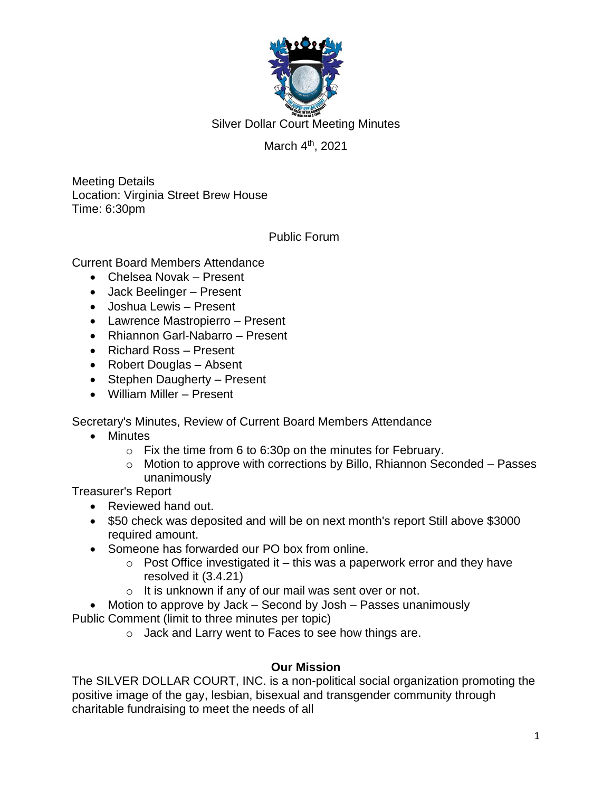

Silver Dollar Court Meeting Minutes

# March 4<sup>th</sup>, 2021

Meeting Details Location: Virginia Street Brew House Time: 6:30pm

Public Forum

Current Board Members Attendance

- Chelsea Novak Present
- Jack Beelinger Present
- Joshua Lewis Present
- Lawrence Mastropierro Present
- Rhiannon Garl-Nabarro Present
- Richard Ross Present
- Robert Douglas Absent
- Stephen Daugherty Present
- William Miller Present

Secretary's Minutes, Review of Current Board Members Attendance

- Minutes
	- $\circ$  Fix the time from 6 to 6:30p on the minutes for February.
	- o Motion to approve with corrections by Billo, Rhiannon Seconded Passes unanimously

Treasurer's Report

- Reviewed hand out.
- \$50 check was deposited and will be on next month's report Still above \$3000 required amount.
- Someone has forwarded our PO box from online.
	- $\circ$  Post Office investigated it this was a paperwork error and they have resolved it (3.4.21)
	- $\circ$  It is unknown if any of our mail was sent over or not.

• Motion to approve by Jack – Second by Josh – Passes unanimously Public Comment (limit to three minutes per topic)

o Jack and Larry went to Faces to see how things are.

## **Our Mission**

The SILVER DOLLAR COURT, INC. is a non-political social organization promoting the positive image of the gay, lesbian, bisexual and transgender community through charitable fundraising to meet the needs of all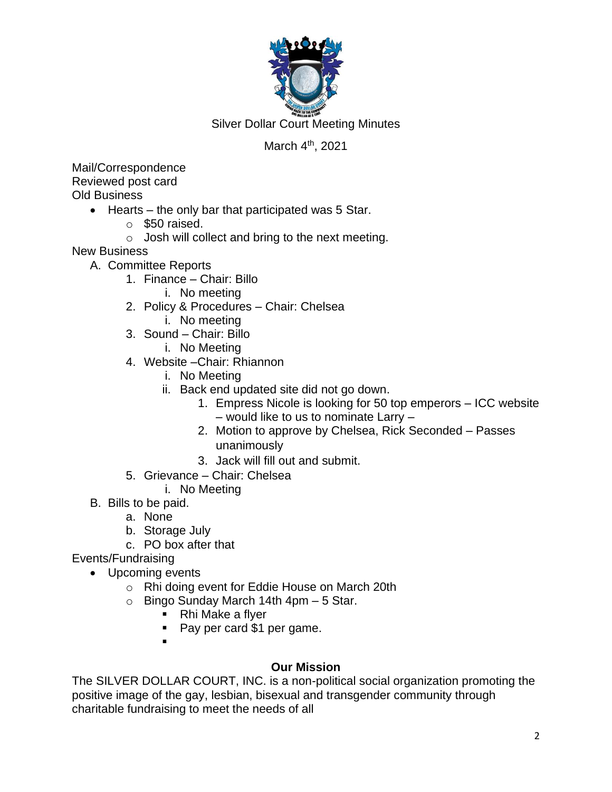

Silver Dollar Court Meeting Minutes

# March 4<sup>th</sup>, 2021

Mail/Correspondence Reviewed post card Old Business

- Hearts the only bar that participated was 5 Star.
	- $\circ$  \$50 raised.
	- $\circ$  Josh will collect and bring to the next meeting.

New Business

- A. Committee Reports
	- 1. Finance Chair: Billo
		- i. No meeting
	- 2. Policy & Procedures Chair: Chelsea
		- i. No meeting
	- 3. Sound Chair: Billo
		- i. No Meeting
	- 4. Website –Chair: Rhiannon
		- i. No Meeting
		- ii. Back end updated site did not go down.
			- 1. Empress Nicole is looking for 50 top emperors ICC website – would like to us to nominate Larry –
			- 2. Motion to approve by Chelsea, Rick Seconded Passes unanimously
			- 3. Jack will fill out and submit.
	- 5. Grievance Chair: Chelsea
		- i. No Meeting
- B. Bills to be paid.
	- a. None
	- b. Storage July
	- c. PO box after that

Events/Fundraising

- Upcoming events
	- o Rhi doing event for Eddie House on March 20th
	- $\circ$  Bingo Sunday March 14th 4pm  $-5$  Star.
		- Rhi Make a flyer
		- Pay per card \$1 per game.
		- ▪

## **Our Mission**

The SILVER DOLLAR COURT, INC. is a non-political social organization promoting the positive image of the gay, lesbian, bisexual and transgender community through charitable fundraising to meet the needs of all